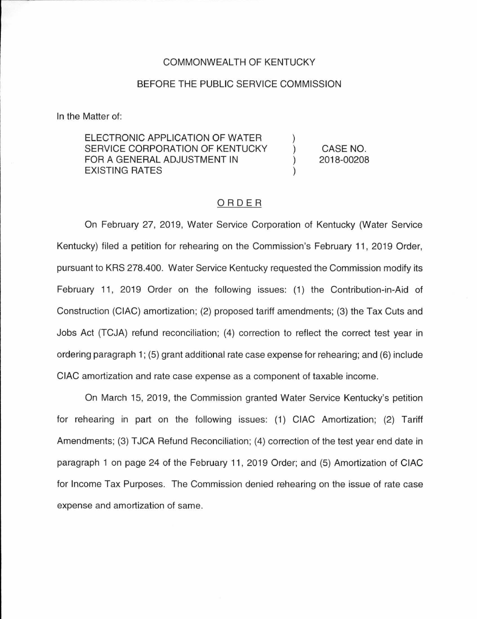#### COMMONWEALTH OF KENTUCKY

### BEFORE THE PUBLIC SERVICE COMMISSION

In the Matter of:

ELECTRONIC APPLICATION OF WATER SERVICE CORPORATION OF KENTUCKY FOR A GENERAL ADJUSTMENT IN EXISTING RATES ) ) ) )

CASE NO. 2018-00208

## ORDER

On February 27, 2019, Water Service Corporation of Kentucky (Water Service Kentucky) filed a petition for rehearing on the Commission's February 11 , 2019 Order, pursuant to KRS 278.400. Water Service Kentucky requested the Commission modify its February 11 , 2019 Order on the following issues: (1) the Contribution-in-Aid of Construction (CIAC) amortization; (2) proposed tariff amendments; (3) the Tax Cuts and Jobs Act (TCJA) refund reconciliation; (4) correction to reflect the correct test year in ordering paragraph 1; (5) grant additional rate case expense for rehearing; and (6) include CIAC amortization and rate case expense as a component of taxable income.

On March 15, 2019, the Commission granted Water Service Kentucky's petition for rehearing in part on the following issues: (1) CIAC Amortization; (2) Tariff Amendments; (3) TJCA Refund Reconciliation; (4) correction of the test year end date in paragraph 1 on page 24 of the February 11 , 2019 Order; and (5) Amortization of CIAC for Income Tax Purposes. The Commission denied rehearing on the issue of rate case expense and amortization of same.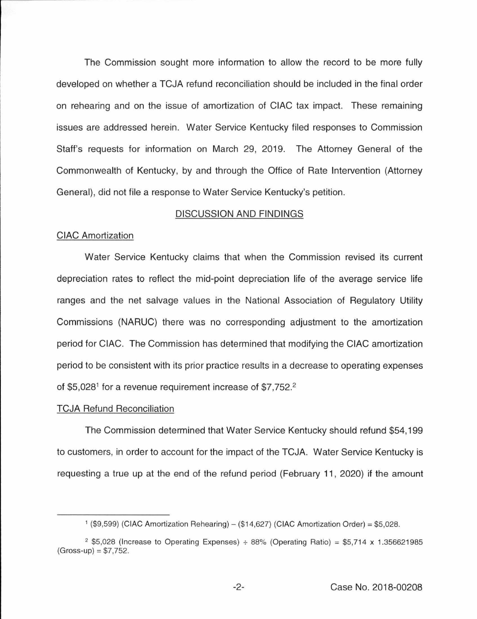The Commission sought more information to allow the record to be more fully developed on whether a TCJA refund reconciliation should be included in the final order on rehearing and on the issue of amortization of CIAC tax impact. These remaining issues are addressed herein. Water Service Kentucky filed responses to Commission Staff's requests for information on March 29, 2019. The Attorney General of the Commonwealth of Kentucky, by and through the Office of Rate Intervention (Attorney General), did not file a response to Water Service Kentucky's petition.

## DISCUSSION AND FINDINGS

#### CIAC Amortization

Water Service Kentucky claims that when the Commission revised its current depreciation rates to reflect the mid-point depreciation life of the average service life ranges and the net salvage values in the National Association of Regulatory Utility Commissions (NARUC) there was no corresponding adjustment to the amortization period for CIAC. The Commission has determined that modifying the CIAC amortization period to be consistent with its prior practice results in a decrease to operating expenses of \$5,028<sup>1</sup> for a revenue requirement increase of \$7,752.<sup>2</sup>

#### TCJA Refund Reconciliation

The Commission determined that Water Service Kentucky should refund \$54, 199 to customers, in order to account for the impact of the TCJA. Water Service Kentucky is requesting a true up at the end of the refund period (February 11 , 2020) if the amount

<sup>&</sup>lt;sup>1</sup> (\$9,599) (CIAC Amortization Rehearing)  $-$  (\$14,627) (CIAC Amortization Order) = \$5,028.

<sup>&</sup>lt;sup>2</sup> \$5,028 (Increase to Operating Expenses)  $\div$  88% (Operating Ratio) = \$5,714 x 1.356621985  $(Gross-up) = $7,752.$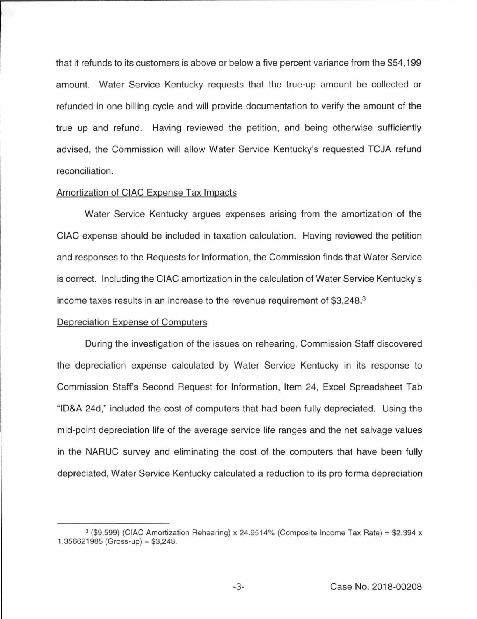that it refunds to its customers is above or below a five percent variance from the \$54, 199 amount. Water Service Kentucky requests that the true-up amount be collected or refunded in one billing cycle and will provide documentation to verify the amount of the true up and refund. Having reviewed the petition, and being otherwise sufficiently advised, the Commission will allow Water Service Kentucky's requested TCJA refund reconciliation.

### Amortization of CIAC Expense Tax Impacts

Water Service Kentucky argues expenses arising from the amortization of the CIAC expense should be included in taxation calculation. Having reviewed the petition and responses to the Requests for Information, the Commission finds that Water Service is correct. Including the CIAC amortization in the calculation of Water Service Kentucky's income taxes results in an increase to the revenue requirement of \$3,248.<sup>3</sup>

#### Depreciation Expense of Computers

During the investigation of the issues on rehearing, Commission Staff discovered the depreciation expense calculated by Water Service Kentucky in its response to Commission Staff's Second Request for Information, Item 24, Excel Spreadsheet Tab "ID&A 24d," included the cost of computers that had been fully depreciated. Using the mid-point depreciation life of the average service life ranges and the net salvage values in the NARUC survey and eliminating the cost of the computers that have been fully depreciated, Water Service Kentucky calculated a reduction to its pro forma depreciation

 $3$  (\$9,599) (CIAC Amortization Rehearing) x 24.9514% (Composite Income Tax Rate) = \$2,394 x  $1.356621985$  (Gross-up) = \$3,248.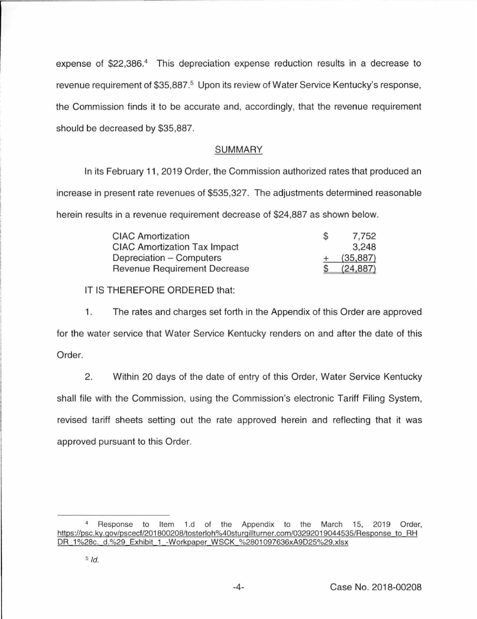expense of \$22,386.4 This depreciation expense reduction results in a decrease to revenue requirement of \$35,887.<sup>5</sup> Upon its review of Water Service Kentucky's response, the Commission finds it to be accurate and, accordingly, that the revenue requirement should be decreased by \$35,887.

# SUMMARY

In its February 11 , 2019 Order, the Commission authorized rates that produced an increase in present rate revenues of \$535,327. The adjustments determined reasonable herein results in a revenue requirement decrease of \$24,887 as shown below.

| <b>CIAC Amortization</b>            | S | 7,752     |
|-------------------------------------|---|-----------|
| <b>CIAC Amortization Tax Impact</b> |   | 3,248     |
| Depreciation – Computers            |   | (35, 887) |
| Revenue Requirement Decrease        |   | (24, 887) |

IT IS THEREFORE ORDERED that:

1. The rates and charges set forth in the Appendix of this Order are approved for the water service that Water Service Kentucky renders on and after the date of this Order.

2. Within 20 days of the date of entry of this Order, Water Service Kentucky shall file with the Commission, using the Commission's electronic Tariff Filing System, revised tariff sheets setting out the rate approved herein and reflecting that it was approved pursuant to this Order.

Response to Item 1.d of the Appendix to the March 15, 2019 Order, https://psc.ky.qov/pscecf/201 800208/tosterloh%40sturqillturner.com/03292019044535/Response to RH DR 1%28c. d.%29 Exhibit 1 -Workpaper WSCK %2801097636xA9025%29.xlsx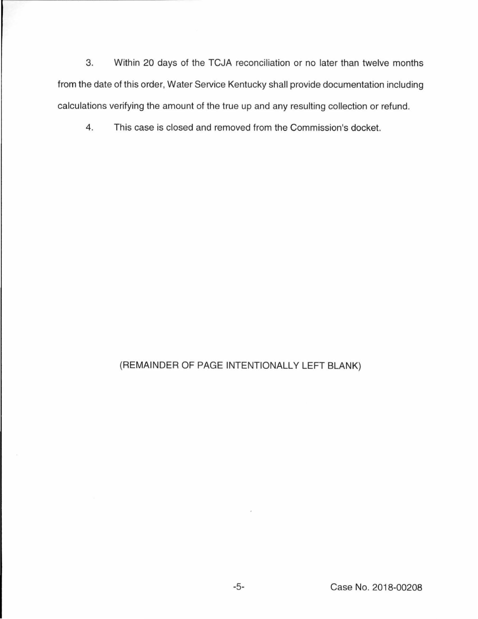3. Within 20 days of the TCJA reconciliation or no later than twelve months from the date of this order, Water Service Kentucky shall provide documentation including calculations verifying the amount of the true up and any resulting collection or refund.

4. This case is closed and removed from the Commission's docket.

# (REMAINDER OF PAGE INTENTIONALLY LEFT BLANK)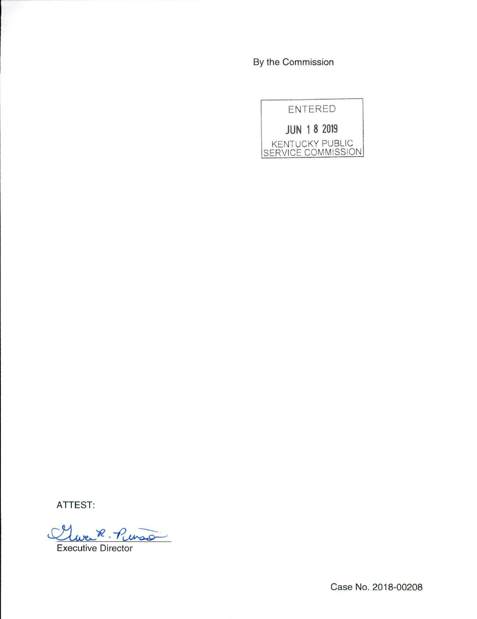By the Commission



**ATTEST:** 

Clue R. Pinso

Executive Director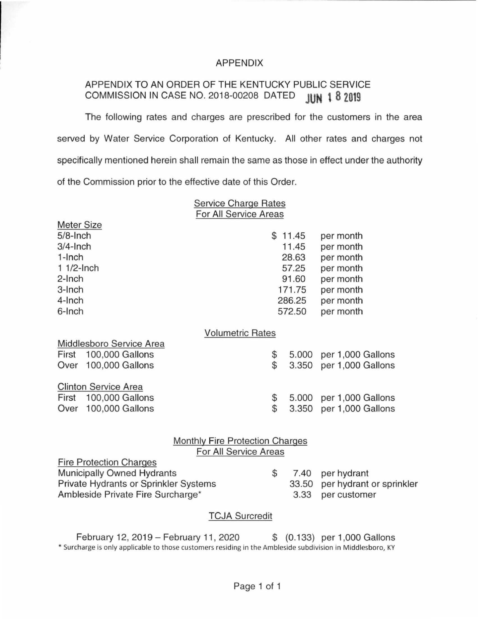## APPENDIX

# APPENDIX TO AN ORDER OF THE KENTUCKY PUBLIC SERVICE COMMISSION IN CASE NO. 2018-00208 DATED **JUN t 8 2019**

The following rates and charges are prescribed for the customers in the area served by Water Service Corporation of Kentucky. All other rates and charges not specifically mentioned herein shall remain the same as those in effect under the authority of the Commission prior to the effective date of this Order.

> Service Charge Rates For All Service Areas

Motor Cizo

| <b>INICIAL OILE</b>                    |    |                  |                          |  |
|----------------------------------------|----|------------------|--------------------------|--|
| $5/8$ -Inch<br>$3/4$ -Inch             |    | \$11.45<br>11.45 | per month                |  |
| $1$ -Inch                              |    | 28.63            | per month                |  |
| $11/2$ -Inch                           |    | 57.25            | per month                |  |
|                                        |    |                  | per month                |  |
| 2-Inch                                 |    | 91.60            | per month                |  |
| 3-Inch                                 |    | 171.75           | per month                |  |
| 4-Inch                                 |    | 286.25           | per month                |  |
| 6-Inch                                 |    | 572.50           | per month                |  |
| <b>Volumetric Rates</b>                |    |                  |                          |  |
| Middlesboro Service Area               |    |                  |                          |  |
| 100,000 Gallons<br>First               | \$ | 5.000            | per 1,000 Gallons        |  |
| Over 100,000 Gallons                   | \$ | 3.350            | per 1,000 Gallons        |  |
|                                        |    |                  |                          |  |
| <b>Clinton Service Area</b>            |    |                  |                          |  |
| First 100,000 Gallons                  | \$ | 5.000            | per 1,000 Gallons        |  |
| 100,000 Gallons<br>Over                | \$ | 3.350            | per 1,000 Gallons        |  |
|                                        |    |                  |                          |  |
|                                        |    |                  |                          |  |
| <b>Monthly Fire Protection Charges</b> |    |                  |                          |  |
| For All Service Areas                  |    |                  |                          |  |
| <b>Fire Protection Charges</b>         |    |                  |                          |  |
| Municipally Owned Hydrants             | \$ | 7.40             | per hydrant              |  |
| Private Hydrants or Sprinkler Systems  |    | 33.50            | per hydrant or sprinkler |  |
| Ambleside Private Fire Surcharge*      |    | 3.33             | per customer             |  |
|                                        |    |                  |                          |  |
| <b>TCJA Surcredit</b>                  |    |                  |                          |  |

February 12, 2019 - February 11 , 2020 \$ (0.133) per 1,000 Gallons •Surcharge is only applicable to those customers residing in the Ambleside subdivision in Middlesboro, KY